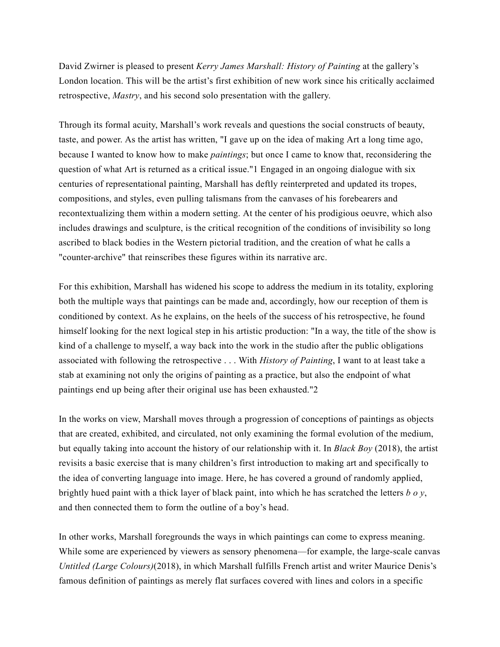David Zwirner is pleased to present *Kerry James Marshall: History of Painting* at the gallery's London location. This will be the artist's first exhibition of new work since his critically acclaimed retrospective, *Mastry*, and his second solo presentation with the gallery.

Through its formal acuity, Marshall's work reveals and questions the social constructs of beauty, taste, and power. As the artist has written, "I gave up on the idea of making Art a long time ago, because I wanted to know how to make *paintings*; but once I came to know that, reconsidering the question of what Art is returned as a critical issue."1 Engaged in an ongoing dialogue with six centuries of representational painting, Marshall has deftly reinterpreted and updated its tropes, compositions, and styles, even pulling talismans from the canvases of his forebearers and recontextualizing them within a modern setting. At the center of his prodigious oeuvre, which also includes drawings and sculpture, is the critical recognition of the conditions of invisibility so long ascribed to black bodies in the Western pictorial tradition, and the creation of what he calls a "counter-archive" that reinscribes these figures within its narrative arc.

For this exhibition, Marshall has widened his scope to address the medium in its totality, exploring both the multiple ways that paintings can be made and, accordingly, how our reception of them is conditioned by context. As he explains, on the heels of the success of his retrospective, he found himself looking for the next logical step in his artistic production: "In a way, the title of the show is kind of a challenge to myself, a way back into the work in the studio after the public obligations associated with following the retrospective . . . With *History of Painting*, I want to at least take a stab at examining not only the origins of painting as a practice, but also the endpoint of what paintings end up being after their original use has been exhausted."2

In the works on view, Marshall moves through a progression of conceptions of paintings as objects that are created, exhibited, and circulated, not only examining the formal evolution of the medium, but equally taking into account the history of our relationship with it. In *Black Boy* (2018), the artist revisits a basic exercise that is many children's first introduction to making art and specifically to the idea of converting language into image. Here, he has covered a ground of randomly applied, brightly hued paint with a thick layer of black paint, into which he has scratched the letters *b o y*, and then connected them to form the outline of a boy's head.

In other works, Marshall foregrounds the ways in which paintings can come to express meaning. While some are experienced by viewers as sensory phenomena—for example, the large-scale canvas *Untitled (Large Colours)*(2018), in which Marshall fulfills French artist and writer Maurice Denis's famous definition of paintings as merely flat surfaces covered with lines and colors in a specific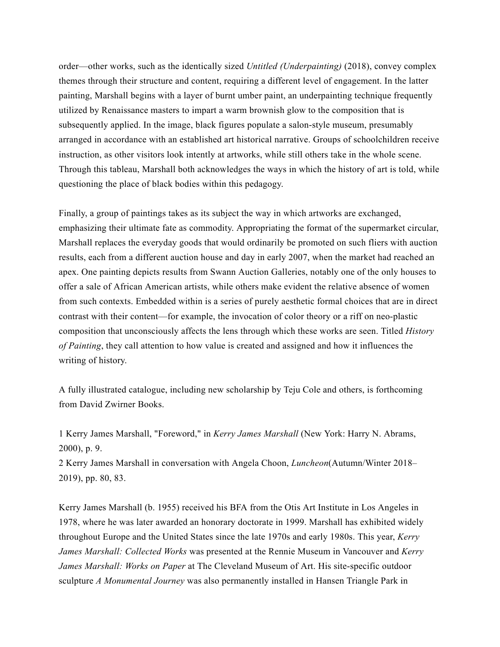order—other works, such as the identically sized *Untitled (Underpainting)* (2018), convey complex themes through their structure and content, requiring a different level of engagement. In the latter painting, Marshall begins with a layer of burnt umber paint, an underpainting technique frequently utilized by Renaissance masters to impart a warm brownish glow to the composition that is subsequently applied. In the image, black figures populate a salon-style museum, presumably arranged in accordance with an established art historical narrative. Groups of schoolchildren receive instruction, as other visitors look intently at artworks, while still others take in the whole scene. Through this tableau, Marshall both acknowledges the ways in which the history of art is told, while questioning the place of black bodies within this pedagogy.

Finally, a group of paintings takes as its subject the way in which artworks are exchanged, emphasizing their ultimate fate as commodity. Appropriating the format of the supermarket circular, Marshall replaces the everyday goods that would ordinarily be promoted on such fliers with auction results, each from a different auction house and day in early 2007, when the market had reached an apex. One painting depicts results from Swann Auction Galleries, notably one of the only houses to offer a sale of African American artists, while others make evident the relative absence of women from such contexts. Embedded within is a series of purely aesthetic formal choices that are in direct contrast with their content—for example, the invocation of color theory or a riff on neo-plastic composition that unconsciously affects the lens through which these works are seen. Titled *History of Painting*, they call attention to how value is created and assigned and how it influences the writing of history.

A fully illustrated catalogue, including new scholarship by Teju Cole and others, is forthcoming from David Zwirner Books.

1 Kerry James Marshall, "Foreword," in *Kerry James Marshall* (New York: Harry N. Abrams, 2000), p. 9.

2 Kerry James Marshall in conversation with Angela Choon, *Luncheon*(Autumn/Winter 2018– 2019), pp. 80, 83.

Kerry James Marshall (b. 1955) received his BFA from the Otis Art Institute in Los Angeles in 1978, where he was later awarded an honorary doctorate in 1999. Marshall has exhibited widely throughout Europe and the United States since the late 1970s and early 1980s. This year, *Kerry James Marshall: Collected Works* was presented at the Rennie Museum in Vancouver and *Kerry James Marshall: Works on Paper* at The Cleveland Museum of Art. His site-specific outdoor sculpture *A Monumental Journey* was also permanently installed in Hansen Triangle Park in